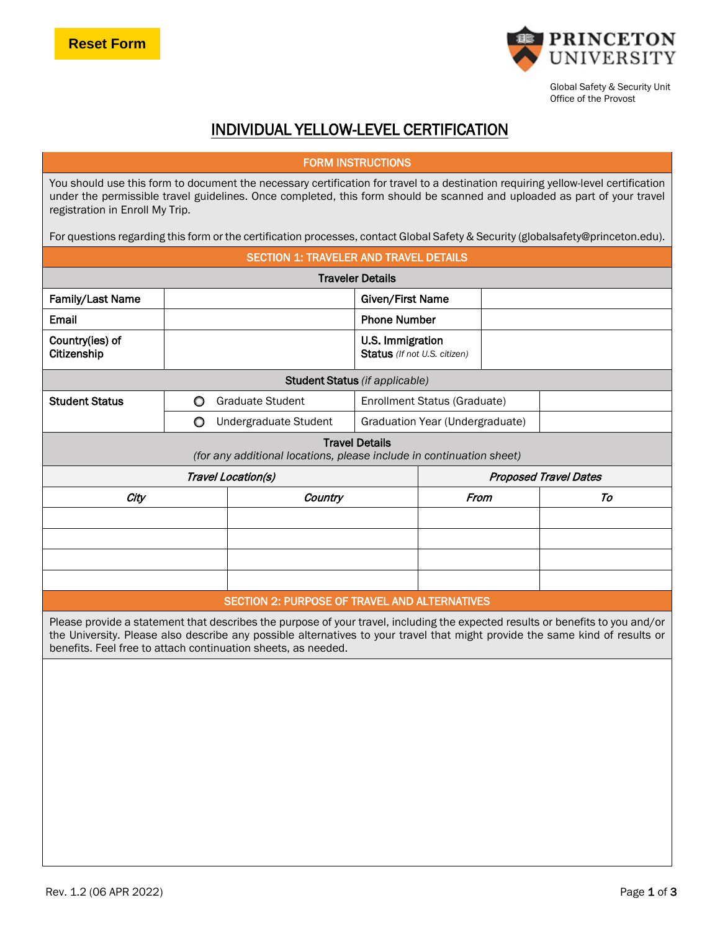

Global Safety & Security Unit Office of the Provost

## INDIVIDUAL YELLOW-LEVEL CERTIFICATION

## FORM INSTRUCTIONS

You should use this form to document the necessary certification for travel to a destination requiring yellow-level certification under the permissible travel guidelines. Once completed, this form should be scanned and uploaded as part of your travel registration in Enroll My Trip.

For questions regarding this form or the certification processes, contact Global Safety & Security (globalsafety@princeton.edu).

| <b>SECTION 1: TRAVELER AND TRAVEL DETAILS</b>                                                                                                                                                                                                                                                                                   |                                                                    |                       |                                                  |      |  |                              |  |  |
|---------------------------------------------------------------------------------------------------------------------------------------------------------------------------------------------------------------------------------------------------------------------------------------------------------------------------------|--------------------------------------------------------------------|-----------------------|--------------------------------------------------|------|--|------------------------------|--|--|
| <b>Traveler Details</b>                                                                                                                                                                                                                                                                                                         |                                                                    |                       |                                                  |      |  |                              |  |  |
| Family/Last Name                                                                                                                                                                                                                                                                                                                |                                                                    |                       | Given/First Name                                 |      |  |                              |  |  |
| Email                                                                                                                                                                                                                                                                                                                           |                                                                    |                       | <b>Phone Number</b>                              |      |  |                              |  |  |
| Country(ies) of<br>Citizenship                                                                                                                                                                                                                                                                                                  |                                                                    |                       | U.S. Immigration<br>Status (If not U.S. citizen) |      |  |                              |  |  |
| Student Status (if applicable)                                                                                                                                                                                                                                                                                                  |                                                                    |                       |                                                  |      |  |                              |  |  |
| <b>Student Status</b>                                                                                                                                                                                                                                                                                                           | $\circ$<br><b>Graduate Student</b><br>Enrollment Status (Graduate) |                       |                                                  |      |  |                              |  |  |
|                                                                                                                                                                                                                                                                                                                                 | $\circ$                                                            | Undergraduate Student | Graduation Year (Undergraduate)                  |      |  |                              |  |  |
| <b>Travel Details</b><br>(for any additional locations, please include in continuation sheet)                                                                                                                                                                                                                                   |                                                                    |                       |                                                  |      |  |                              |  |  |
|                                                                                                                                                                                                                                                                                                                                 |                                                                    | Travel Location(s)    |                                                  |      |  | <b>Proposed Travel Dates</b> |  |  |
| City                                                                                                                                                                                                                                                                                                                            |                                                                    | Country               |                                                  | From |  | To                           |  |  |
|                                                                                                                                                                                                                                                                                                                                 |                                                                    |                       |                                                  |      |  |                              |  |  |
|                                                                                                                                                                                                                                                                                                                                 |                                                                    |                       |                                                  |      |  |                              |  |  |
|                                                                                                                                                                                                                                                                                                                                 |                                                                    |                       |                                                  |      |  |                              |  |  |
|                                                                                                                                                                                                                                                                                                                                 |                                                                    |                       |                                                  |      |  |                              |  |  |
| SECTION 2: PURPOSE OF TRAVEL AND ALTERNATIVES                                                                                                                                                                                                                                                                                   |                                                                    |                       |                                                  |      |  |                              |  |  |
| Please provide a statement that describes the purpose of your travel, including the expected results or benefits to you and/or<br>the University. Please also describe any possible alternatives to your travel that might provide the same kind of results or<br>benefits. Feel free to attach continuation sheets, as needed. |                                                                    |                       |                                                  |      |  |                              |  |  |
|                                                                                                                                                                                                                                                                                                                                 |                                                                    |                       |                                                  |      |  |                              |  |  |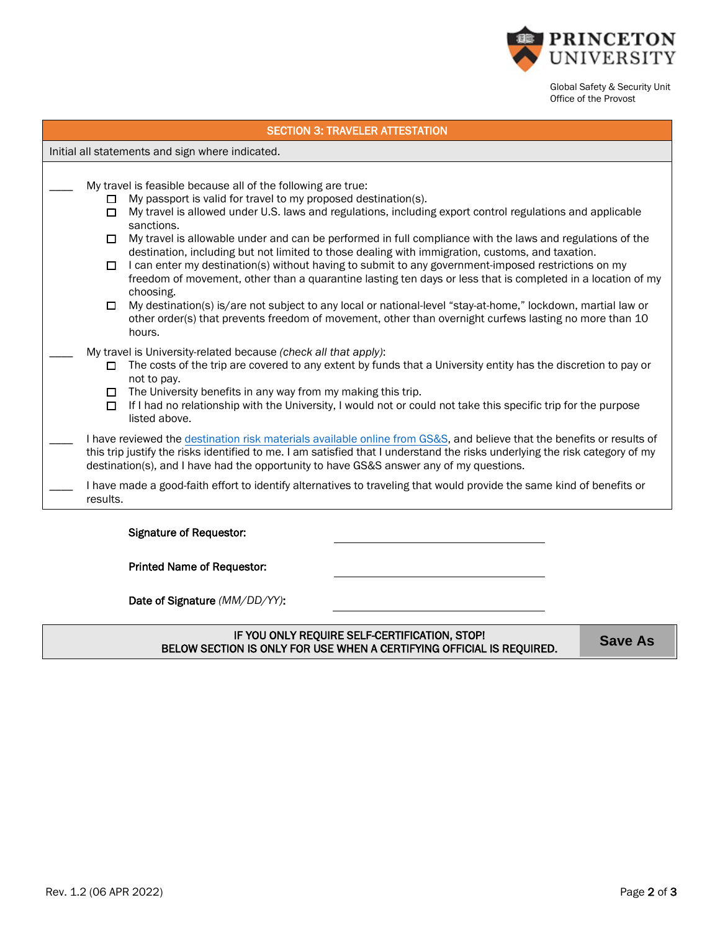

Global Safety & Security Unit Office of the Provost

| <b>SECTION 3: TRAVELER ATTESTATION</b>           |                                                                                                                                                                                                                                                                                                                                                  |                                                                                                                                                                                                                                  |  |  |  |  |
|--------------------------------------------------|--------------------------------------------------------------------------------------------------------------------------------------------------------------------------------------------------------------------------------------------------------------------------------------------------------------------------------------------------|----------------------------------------------------------------------------------------------------------------------------------------------------------------------------------------------------------------------------------|--|--|--|--|
| Initial all statements and sign where indicated. |                                                                                                                                                                                                                                                                                                                                                  |                                                                                                                                                                                                                                  |  |  |  |  |
|                                                  |                                                                                                                                                                                                                                                                                                                                                  |                                                                                                                                                                                                                                  |  |  |  |  |
|                                                  | My travel is feasible because all of the following are true:                                                                                                                                                                                                                                                                                     |                                                                                                                                                                                                                                  |  |  |  |  |
|                                                  | □                                                                                                                                                                                                                                                                                                                                                | My passport is valid for travel to my proposed destination(s).                                                                                                                                                                   |  |  |  |  |
|                                                  | □                                                                                                                                                                                                                                                                                                                                                | My travel is allowed under U.S. laws and regulations, including export control regulations and applicable<br>sanctions.                                                                                                          |  |  |  |  |
|                                                  | П                                                                                                                                                                                                                                                                                                                                                | My travel is allowable under and can be performed in full compliance with the laws and regulations of the<br>destination, including but not limited to those dealing with immigration, customs, and taxation.                    |  |  |  |  |
|                                                  | П                                                                                                                                                                                                                                                                                                                                                | I can enter my destination(s) without having to submit to any government-imposed restrictions on my<br>freedom of movement, other than a quarantine lasting ten days or less that is completed in a location of my<br>choosing.  |  |  |  |  |
|                                                  | □                                                                                                                                                                                                                                                                                                                                                | My destination(s) is/are not subject to any local or national-level "stay-at-home," lockdown, martial law or<br>other order(s) that prevents freedom of movement, other than overnight curfews lasting no more than 10<br>hours. |  |  |  |  |
|                                                  | My travel is University-related because (check all that apply):                                                                                                                                                                                                                                                                                  |                                                                                                                                                                                                                                  |  |  |  |  |
|                                                  | □                                                                                                                                                                                                                                                                                                                                                | The costs of the trip are covered to any extent by funds that a University entity has the discretion to pay or<br>not to pay.                                                                                                    |  |  |  |  |
|                                                  | □                                                                                                                                                                                                                                                                                                                                                | The University benefits in any way from my making this trip.                                                                                                                                                                     |  |  |  |  |
|                                                  | □                                                                                                                                                                                                                                                                                                                                                | If I had no relationship with the University, I would not or could not take this specific trip for the purpose<br>listed above.                                                                                                  |  |  |  |  |
|                                                  | I have reviewed the destination risk materials available online from GS&S, and believe that the benefits or results of<br>this trip justify the risks identified to me. I am satisfied that I understand the risks underlying the risk category of my<br>destination(s), and I have had the opportunity to have GS&S answer any of my questions. |                                                                                                                                                                                                                                  |  |  |  |  |
|                                                  | I have made a good-faith effort to identify alternatives to traveling that would provide the same kind of benefits or<br>results.                                                                                                                                                                                                                |                                                                                                                                                                                                                                  |  |  |  |  |
|                                                  |                                                                                                                                                                                                                                                                                                                                                  |                                                                                                                                                                                                                                  |  |  |  |  |

Signature of Requestor:

Printed Name of Requestor:

Date of Signature *(MM/DD/YY)*:

IF YOU ONLY REQUIRE SELF-CERTIFICATION, STOP! BELOW SECTION IS ONLY FOR USE WHEN A CERTIFYING OFFICIAL IS REQUIRED.

**Save As**